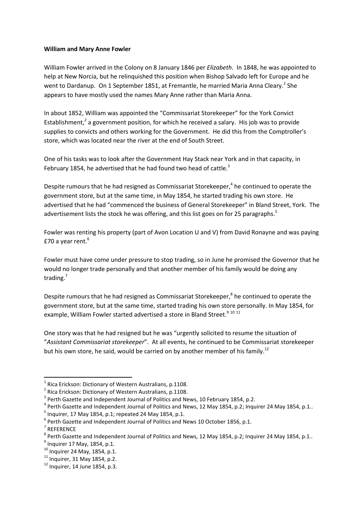## **William and Mary Anne Fowler**

William Fowler arrived in the Colony on 8 January 1846 per *Elizabeth*. In 1848, he was appointed to help at New Norcia, but he relinquished this position when Bishop Salvado left for Europe and he went to Dardanup. On 1 September 1851, at Fremantle, he married Maria Anna Cleary*. 1* She appears to have mostly used the names Mary Anne rather than Maria Anna.

In about 1852, William was appointed the "Commissariat Storekeeper" for the York Convict Establishment,<sup>2</sup> a government position, for which he received a salary. His job was to provide supplies to convicts and others working for the Government. He did this from the Comptroller's store, which was located near the river at the end of South Street.

One of his tasks was to look after the Government Hay Stack near York and in that capacity, in February 1854, he advertised that he had found two head of cattle.<sup>3</sup>

Despite rumours that he had resigned as Commissariat Storekeeper,<sup>4</sup> he continued to operate the government store, but at the same time, in May 1854, he started trading his own store. He advertised that he had "commenced the business of General Storekeeper" in Bland Street, York. The advertisement lists the stock he was offering, and this list goes on for 25 paragraphs.<sup>5</sup>

Fowler was renting his property (part of Avon Location U and V) from David Ronayne and was paying £70 a year rent.<sup>6</sup>

Fowler must have come under pressure to stop trading, so in June he promised the Governor that he would no longer trade personally and that another member of his family would be doing any trading.<sup>7</sup>

Despite rumours that he had resigned as Commissariat Storekeeper,<sup>8</sup> he continued to operate the government store, but at the same time, started trading his own store personally. In May 1854, for example, William Fowler started advertised a store in Bland Street.<sup>9 10 11</sup>

One story was that he had resigned but he was "urgently solicited to resume the situation of "*Assistant Commissariat storekeeper*". At all events, he continued to be Commissariat storekeeper but his own store, he said, would be carried on by another member of his family.<sup>12</sup>

 $\overline{a}$ 

 $<sup>1</sup>$  Rica Erickson: Dictionary of Western Australians, p.1108.</sup>

<sup>&</sup>lt;sup>2</sup> Rica Erickson: Dictionary of Western Australians, p.1108.

 $3$  Perth Gazette and Independent Journal of Politics and News, 10 February 1854, p.2.

 $^4$  Perth Gazette and Independent Journal of Politics and News, 12 May 1854, p.2; Inquirer 24 May 1854, p.1..

 $<sup>5</sup>$  Inquirer, 17 May 1854, p.1; repeated 24 May 1854, p.1.</sup>

 $^6$  Perth Gazette and Independent Journal of Politics and News 10 October 1856, p.1.

<sup>7</sup> REFERENCE

 $^8$  Perth Gazette and Independent Journal of Politics and News, 12 May 1854, p.2; Inquirer 24 May 1854, p.1..

 $^{9}$  Inquirer 17 May, 1854, p.1.

 $10$  Inquirer 24 May, 1854, p.1.

 $11$  Inquirer, 31 May 1854, p.2.

 $12$  Inquirer. 14 June 1854, p.3.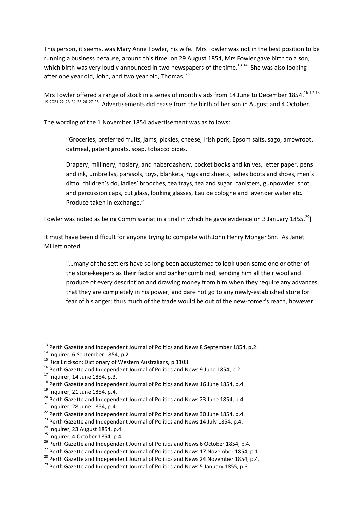This person, it seems, was Mary Anne Fowler, his wife. Mrs Fowler was not in the best position to be running a business because, around this time, on 29 August 1854, Mrs Fowler gave birth to a son, which birth was very loudly announced in two newspapers of the time.<sup>13 14</sup> She was also looking after one year old, John, and two year old, Thomas. *<sup>15</sup>*

Mrs Fowler offered a range of stock in a series of monthly ads from 14 June to December 1854.<sup>16 17 18</sup> <sup>19</sup> <sup>2021</sup> <sup>22</sup> <sup>23</sup> <sup>24</sup> <sup>25</sup> <sup>26</sup> <sup>27</sup> <sup>28</sup> Advertisements did cease from the birth of her son in August and 4 October.

The wording of the 1 November 1854 advertisement was as follows:

"Groceries, preferred fruits, jams, pickles, cheese, Irish pork, Epsom salts, sago, arrowroot, oatmeal, patent groats, soap, tobacco pipes.

Drapery, millinery, hosiery, and haberdashery, pocket books and knives, letter paper, pens and ink, umbrellas, parasols, toys, blankets, rugs and sheets, ladies boots and shoes, men's ditto, children's do, ladies' brooches, tea trays, tea and sugar, canisters, gunpowder, shot, and percussion caps, cut glass, looking glasses, Eau de cologne and lavender water etc. Produce taken in exchange."

Fowler was noted as being Commissariat in a trial in which he gave evidence on 3 January 1855.<sup>29</sup>]

It must have been difficult for anyone trying to compete with John Henry Monger Snr. As Janet Millett noted:

"…many of the settlers have so long been accustomed to look upon some one or other of the store-keepers as their factor and banker combined, sending him all their wool and produce of every description and drawing money from him when they require any advances, that they are completely in his power, and dare not go to any newly-established store for fear of his anger; thus much of the trade would be out of the new-comer's reach, however

**.** 

 $^{13}$  Perth Gazette and Independent Journal of Politics and News 8 September 1854, p.2.

<sup>&</sup>lt;sup>14</sup> Inquirer, 6 September 1854, p.2.

<sup>&</sup>lt;sup>15</sup> Rica Erickson: Dictionary of Western Australians, p.1108.

<sup>&</sup>lt;sup>16</sup> Perth Gazette and Independent Journal of Politics and News 9 June 1854, p.2.

 $17$  Inquirer, 14 June 1854, p.3.

<sup>&</sup>lt;sup>18</sup> Perth Gazette and Independent Journal of Politics and News 16 June 1854, p.4.

 $19$  Inquirer, 21 June 1854, p.4.

<sup>&</sup>lt;sup>20</sup> Perth Gazette and Independent Journal of Politics and News 23 June 1854, p.4.

 $^{21}$  Inquirer, 28 June 1854, p.4.

 $^{22}$  Perth Gazette and Independent Journal of Politics and News 30 June 1854, p.4.

<sup>&</sup>lt;sup>23</sup> Perth Gazette and Independent Journal of Politics and News 14 July 1854, p.4.

 $24$  Inquirer, 23 August 1854, p.4.

 $25$  Inquirer, 4 October 1854, p.4.

<sup>&</sup>lt;sup>26</sup> Perth Gazette and Independent Journal of Politics and News 6 October 1854, p.4.

 $^{27}$  Perth Gazette and Independent Journal of Politics and News 17 November 1854, p.1.

 $^{28}$  Perth Gazette and Independent Journal of Politics and News 24 November 1854, p.4.

 $^{29}$  Perth Gazette and Independent Journal of Politics and News 5 January 1855, p.3.